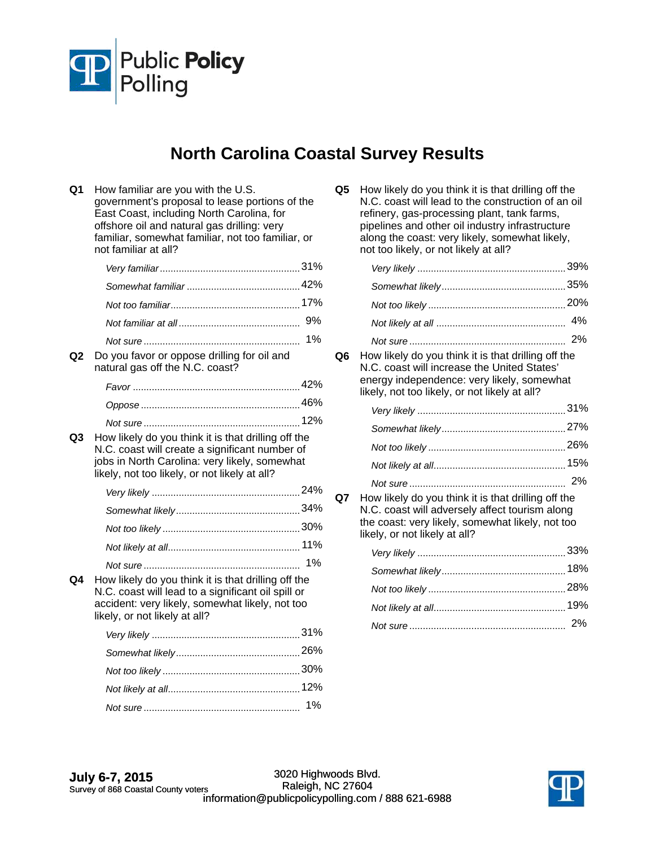

## **North Carolina Coastal Survey Results**

| Q1 | How familiar are you with the U.S.<br>government's proposal to lease portions of the<br>East Coast, including North Carolina, for<br>offshore oil and natural gas drilling: very<br>familiar, somewhat familiar, not too familiar, or<br>not familiar at all? |    |
|----|---------------------------------------------------------------------------------------------------------------------------------------------------------------------------------------------------------------------------------------------------------------|----|
|    |                                                                                                                                                                                                                                                               |    |
|    |                                                                                                                                                                                                                                                               |    |
|    |                                                                                                                                                                                                                                                               |    |
|    |                                                                                                                                                                                                                                                               | 9% |
|    |                                                                                                                                                                                                                                                               | 1% |
| Q2 | Do you favor or oppose drilling for oil and<br>natural gas off the N.C. coast?                                                                                                                                                                                |    |
|    |                                                                                                                                                                                                                                                               |    |
|    |                                                                                                                                                                                                                                                               |    |
|    |                                                                                                                                                                                                                                                               |    |
| Q3 | How likely do you think it is that drilling off the<br>N.C. coast will create a significant number of<br>jobs in North Carolina: very likely, somewhat<br>likely, not too likely, or not likely at all?                                                       |    |
|    |                                                                                                                                                                                                                                                               |    |
|    |                                                                                                                                                                                                                                                               |    |
|    |                                                                                                                                                                                                                                                               |    |
|    |                                                                                                                                                                                                                                                               |    |
|    |                                                                                                                                                                                                                                                               | 1% |
| Q4 | How likely do you think it is that drilling off the<br>N.C. coast will lead to a significant oil spill or<br>accident: very likely, somewhat likely, not too<br>likely, or not likely at all?                                                                 |    |
|    |                                                                                                                                                                                                                                                               |    |
|    |                                                                                                                                                                                                                                                               |    |
|    |                                                                                                                                                                                                                                                               |    |
|    |                                                                                                                                                                                                                                                               |    |
|    |                                                                                                                                                                                                                                                               | 1% |
|    |                                                                                                                                                                                                                                                               |    |

**Q5** How likely do you think it is that drilling off the N.C. coast will lead to the construction of an oil refinery, gas-processing plant, tank farms, pipelines and other oil industry infrastructure along the coast: very likely, somewhat likely, not too likely, or not likely at all?

**Q6** How likely do you think it is that drilling off the N.C. coast will increase the United States' energy independence: very likely, somewhat likely, not too likely, or not likely at all?

**Q7** How likely do you think it is that drilling off the N.C. coast will adversely affect tourism along the coast: very likely, somewhat likely, not too likely, or not likely at all?

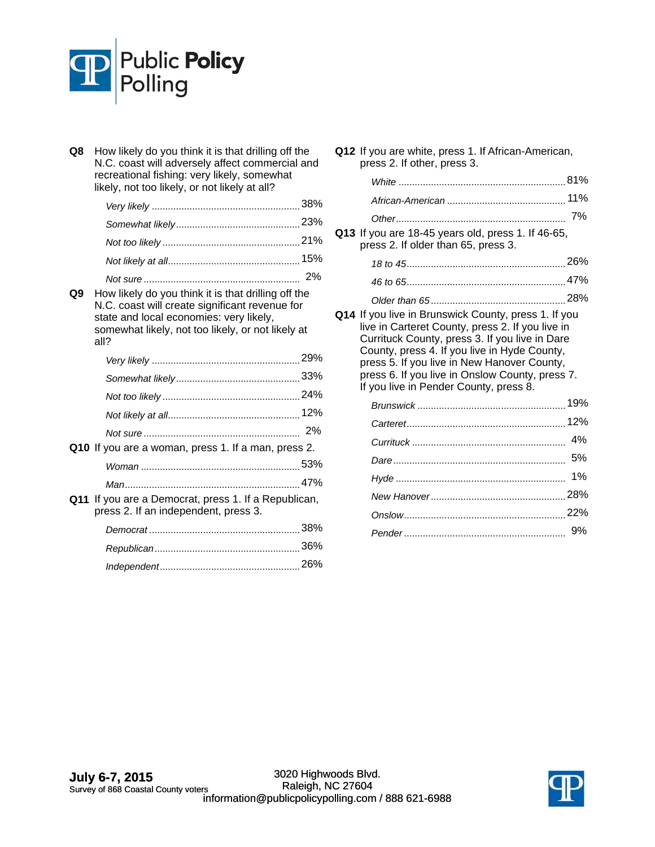

**Q8** How likely do you think it is that drilling off the N.C. coast will adversely affect commercial and recreational fishing: very likely, somewhat likely, not too likely, or not likely at all?

**Q9** How likely do you think it is that drilling off the N.C. coast will create significant revenue for state and local economies: very likely, somewhat likely, not too likely, or not likely at all?

| Q10 If you are a woman, press 1. If a man, press 2. |  |
|-----------------------------------------------------|--|
|                                                     |  |
|                                                     |  |

**Q11** If you are a Democrat, press 1. If a Republican, press 2. If an independent, press 3.

**Q12** If you are white, press 1. If African-American, press 2. If other, press 3.

**Q13** If you are 18-45 years old, press 1. If 46-65, press 2. If older than 65, press 3.

*Older than 65* 28% ..................................................

**Q14** If you live in Brunswick County, press 1. If you live in Carteret County, press 2. If you live in Currituck County, press 3. If you live in Dare County, press 4. If you live in Hyde County, press 5. If you live in New Hanover County, press 6. If you live in Onslow County, press 7. If you live in Pender County, press 8.

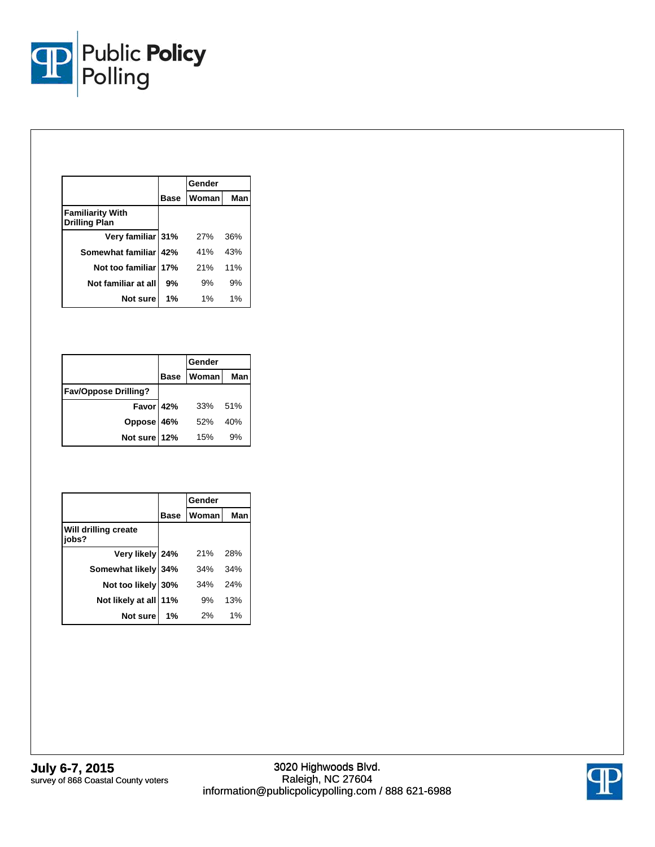

|                                                 |             | Gender |     |
|-------------------------------------------------|-------------|--------|-----|
|                                                 | <b>Base</b> | Woman  | Man |
| <b>Familiarity With</b><br><b>Drilling Plan</b> |             |        |     |
| Very familiar 31%                               |             | 27%    | 36% |
| Somewhat familiar 42%                           |             | 41%    | 43% |
| Not too familiar 17%                            |             | 21%    | 11% |
| Not familiar at all                             | 9%          | 9%     | 9%  |
| Not sure                                        | 1%          | 1%     | 1%  |

|                             |             | Gender       |     |
|-----------------------------|-------------|--------------|-----|
|                             | <b>Base</b> | <b>Woman</b> | Man |
| <b>Fav/Oppose Drilling?</b> |             |              |     |
| Favor 42%                   |             | 33%          | 51% |
| Oppose 46%                  |             | 52%          | 40% |
| Not sure 12%                |             | 15%          | 9%  |

|                               |             | Gender       |     |
|-------------------------------|-------------|--------------|-----|
|                               | <b>Base</b> | <b>Woman</b> | Man |
| Will drilling create<br>jobs? |             |              |     |
| Very likely 24%               |             | 21%          | 28% |
| Somewhat likely 34%           |             | 34%          | 34% |
| Not too likely 30%            |             | 34%          | 24% |
| Not likely at all             | 11%         | 9%           | 13% |
| Not sure                      | 1%          | 2%           | 1%  |

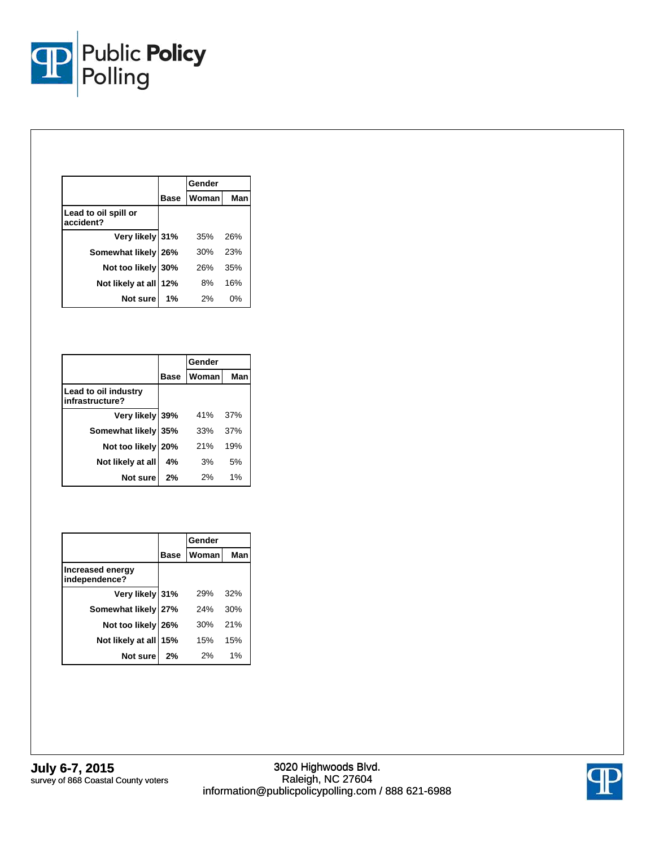

|                                   |             | Gender |     |
|-----------------------------------|-------------|--------|-----|
|                                   | <b>Base</b> | Woman  | Man |
| Lead to oil spill or<br>accident? |             |        |     |
| Very likely 31%                   |             | 35%    | 26% |
| Somewhat likely 26%               |             | 30%    | 23% |
| Not too likely 30%                |             | 26%    | 35% |
| Not likely at all 12%             |             | 8%     | 16% |
| Not sure                          | 1%          | 2%     | 0%  |

|                                         |             | Gender |     |
|-----------------------------------------|-------------|--------|-----|
|                                         | <b>Base</b> | Woman  | Man |
| Lead to oil industry<br>infrastructure? |             |        |     |
| Very likely 39%                         |             | 41%    | 37% |
| Somewhat likely 35%                     |             | 33%    | 37% |
| Not too likely 20%                      |             | 21%    | 19% |
| Not likely at all                       | 4%          | 3%     | 5%  |
| Not sure                                | 2%          | 2%     | 1%  |

|                                   |             | Gender |     |
|-----------------------------------|-------------|--------|-----|
|                                   | <b>Base</b> | Woman  | Man |
| Increased energy<br>independence? |             |        |     |
| Very likely 31%                   |             | 29%    | 32% |
| Somewhat likely 27%               |             | 24%    | 30% |
| Not too likely 26%                |             | 30%    | 21% |
| Not likely at all 15%             |             | 15%    | 15% |
| Not sure                          | 2%          | 2%     | 1%  |

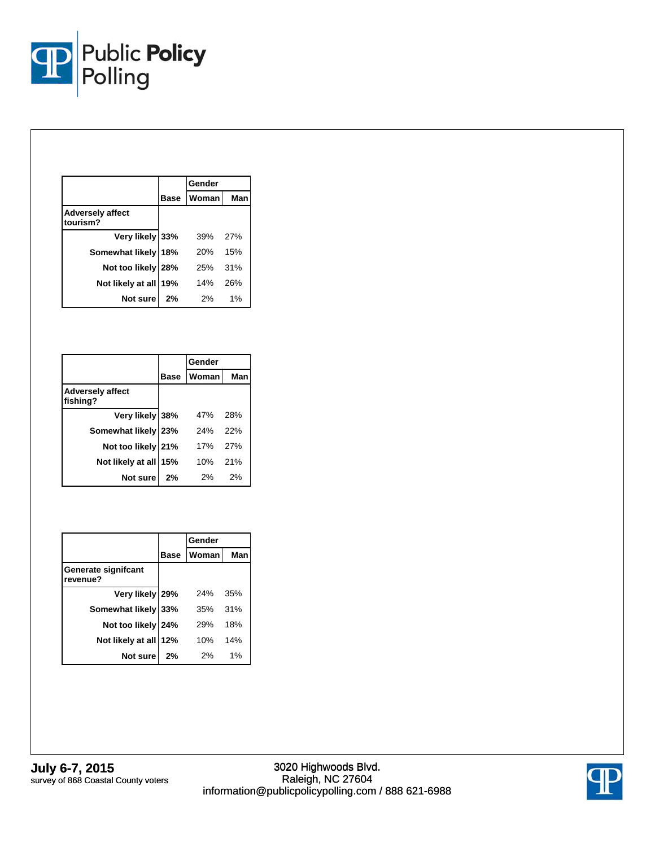

|                                     |             | Gender       |     |
|-------------------------------------|-------------|--------------|-----|
|                                     | <b>Base</b> | <b>Woman</b> | Man |
| <b>Adversely affect</b><br>tourism? |             |              |     |
| Very likely 33%                     |             | 39%          | 27% |
| Somewhat likely 18%                 |             | 20%          | 15% |
| Not too likely 28%                  |             | 25%          | 31% |
| Not likely at all                   | 19%         | 14%          | 26% |
| Not sure                            | 2%          | 2%           | 1%  |

|                                     |             | Gender |            |
|-------------------------------------|-------------|--------|------------|
|                                     | <b>Base</b> | Woman  | Man        |
| <b>Adversely affect</b><br>fishing? |             |        |            |
| Very likely 38%                     |             | 47%    | 28%        |
| Somewhat likely 23%                 |             | 24%    | 22%        |
| Not too likely 21%                  |             | 17%    | <b>27%</b> |
| Not likely at all                   | 15%         | 10%    | 21%        |
| Not sure                            | 2%          | 2%     | 2%         |

|                                 |             | Gender       |     |
|---------------------------------|-------------|--------------|-----|
|                                 | <b>Base</b> | <b>Woman</b> | Man |
| Generate signifcant<br>revenue? |             |              |     |
| Very likely 29%                 |             | 24%          | 35% |
| Somewhat likely 33%             |             | 35%          | 31% |
| Not too likely 24%              |             | 29%          | 18% |
| Not likely at all 12%           |             | 10%          | 14% |
| Not sure                        | 2%          | 2%           | 1%  |

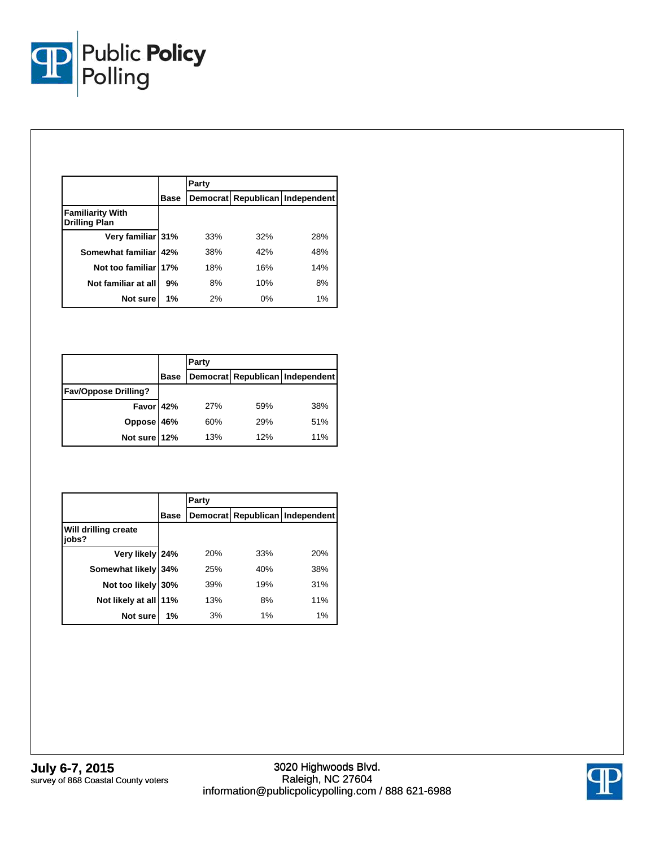

|                                                 |             | Party |       |                                 |  |  |
|-------------------------------------------------|-------------|-------|-------|---------------------------------|--|--|
|                                                 | <b>Base</b> |       |       | Democrat Republican Independent |  |  |
| <b>Familiarity With</b><br><b>Drilling Plan</b> |             |       |       |                                 |  |  |
| Very familiar 31%                               |             | 33%   | 32%   | 28%                             |  |  |
| Somewhat familiar 42%                           |             | 38%   | 42%   | 48%                             |  |  |
| Not too familiar 17%                            |             | 18%   | 16%   | 14%                             |  |  |
| Not familiar at all                             | 9%          | 8%    | 10%   | 8%                              |  |  |
| Not sure                                        | 1%          | 2%    | $0\%$ | 1%                              |  |  |

|                             |             | Party |     |                                 |  |
|-----------------------------|-------------|-------|-----|---------------------------------|--|
|                             | <b>Base</b> |       |     | Democrat Republican Independent |  |
| <b>Fav/Oppose Drilling?</b> |             |       |     |                                 |  |
| Favor 42%                   |             | 27%   | 59% | 38%                             |  |
| Oppose 46%<br>Not sure 12%  |             | 60%   | 29% | 51%                             |  |
|                             |             | 13%   | 12% | 11%                             |  |

|                               |             | Party |     |                                 |  |
|-------------------------------|-------------|-------|-----|---------------------------------|--|
|                               | <b>Base</b> |       |     | Democrat Republican Independent |  |
| Will drilling create<br>jobs? |             |       |     |                                 |  |
| Very likely 24%               |             | 20%   | 33% | 20%                             |  |
| Somewhat likely 34%           |             | 25%   | 40% | 38%                             |  |
| Not too likely 30%            |             | 39%   | 19% | 31%                             |  |
| Not likely at all 11%         |             | 13%   | 8%  | 11%                             |  |
| Not sure                      | 1%          | 3%    | 1%  | 1%                              |  |

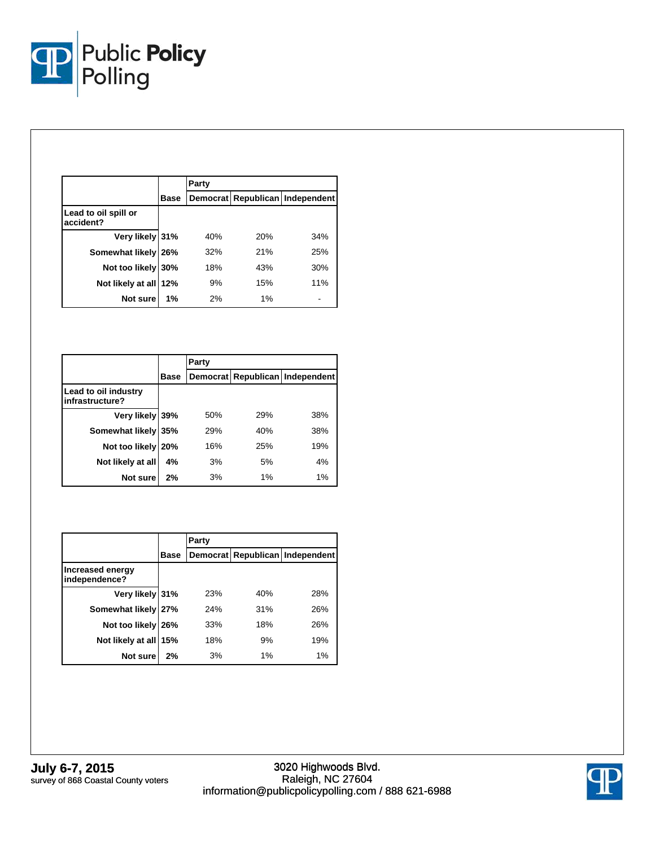

|                                   |      | Party |     |                                 |
|-----------------------------------|------|-------|-----|---------------------------------|
|                                   | Base |       |     | Democrat Republican Independent |
| Lead to oil spill or<br>accident? |      |       |     |                                 |
| Very likely 31%                   |      | 40%   | 20% | 34%                             |
| Somewhat likely                   | 26%  | 32%   | 21% | 25%                             |
| Not too likely 30%                |      | 18%   | 43% | 30%                             |
| Not likely at all 12%             |      | 9%    | 15% | 11%                             |
| Not sure                          | 1%   | 2%    | 1%  |                                 |

|                                         |            | Party |     |                                 |
|-----------------------------------------|------------|-------|-----|---------------------------------|
|                                         | Base       |       |     | Democrat Republican Independent |
| Lead to oil industry<br>infrastructure? |            |       |     |                                 |
| Very likely 39%                         |            | 50%   | 29% | 38%                             |
| Somewhat likely                         | 35%        | 29%   | 40% | 38%                             |
| Not too likely                          | <b>20%</b> | 16%   | 25% | 19%                             |
| Not likely at all                       | 4%         | 3%    | 5%  | 4%                              |
| Not sure                                | 2%         | 3%    | 1%  | 1%                              |

|                                   |      | Party |     |                                 |  |  |  |
|-----------------------------------|------|-------|-----|---------------------------------|--|--|--|
|                                   | Base |       |     | Democrat Republican Independent |  |  |  |
| Increased energy<br>independence? |      |       |     |                                 |  |  |  |
| Very likely 31%                   |      | 23%   | 40% | 28%                             |  |  |  |
| Somewhat likely 27%               |      | 24%   | 31% | 26%                             |  |  |  |
| Not too likely                    | 26%  | 33%   | 18% | 26%                             |  |  |  |
| Not likely at all 15%             |      | 18%   | 9%  | 19%                             |  |  |  |
| Not sure                          | 2%   | 3%    | 1%  | 1%                              |  |  |  |

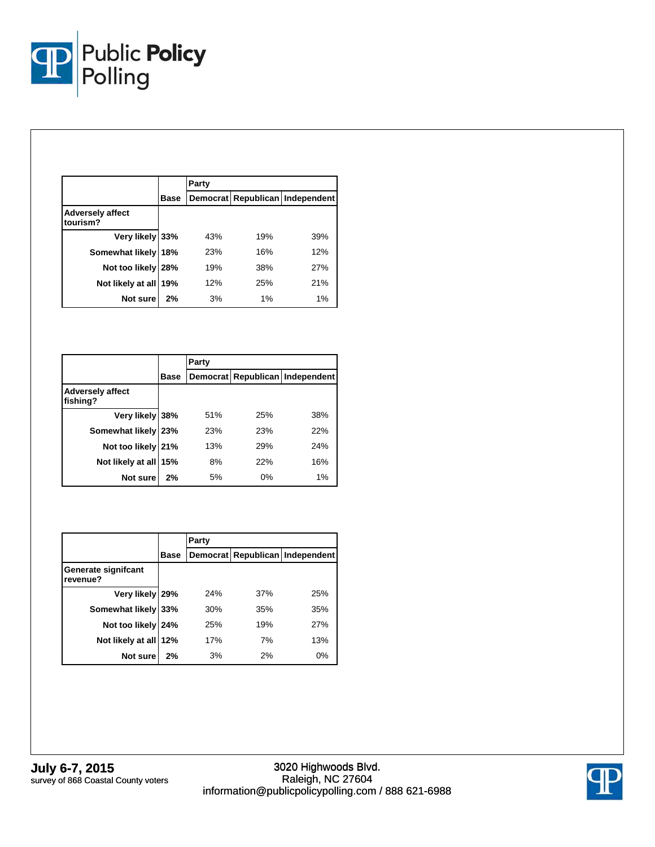

|                                     |             | Party |     |                                 |
|-------------------------------------|-------------|-------|-----|---------------------------------|
|                                     | <b>Base</b> |       |     | Democrat Republican Independent |
| <b>Adversely affect</b><br>tourism? |             |       |     |                                 |
| Very likely 33%                     |             | 43%   | 19% | 39%                             |
| Somewhat likely 18%                 |             | 23%   | 16% | 12%                             |
| Not too likely                      | 28%         | 19%   | 38% | 27%                             |
| Not likely at all 19%               |             | 12%   | 25% | 21%                             |
| Not sure                            | 2%          | 3%    | 1%  | 1%                              |

|                                     |      | Party |     |                                 |
|-------------------------------------|------|-------|-----|---------------------------------|
|                                     | Base |       |     | Democrat Republican Independent |
| <b>Adversely affect</b><br>fishing? |      |       |     |                                 |
| Very likely 38%                     |      | 51%   | 25% | 38%                             |
| Somewhat likely 23%                 |      | 23%   | 23% | 22%                             |
| Not too likely 21%                  |      | 13%   | 29% | 24%                             |
| Not likely at all 15%               |      | 8%    | 22% | 16%                             |
| Not sure                            | 2%   | 5%    | 0%  | 1%                              |

|                                 |      | Party |     |                                 |
|---------------------------------|------|-------|-----|---------------------------------|
|                                 | Base |       |     | Democrat Republican Independent |
| Generate signifcant<br>revenue? |      |       |     |                                 |
| Very likely 29%                 |      | 24%   | 37% | 25%                             |
| Somewhat likely 33%             |      | 30%   | 35% | 35%                             |
| Not too likely 24%              |      | 25%   | 19% | 27%                             |
| Not likely at all 12%           |      | 17%   | 7%  | 13%                             |
| Not sure                        | 2%   | 3%    | 2%  | 0%                              |

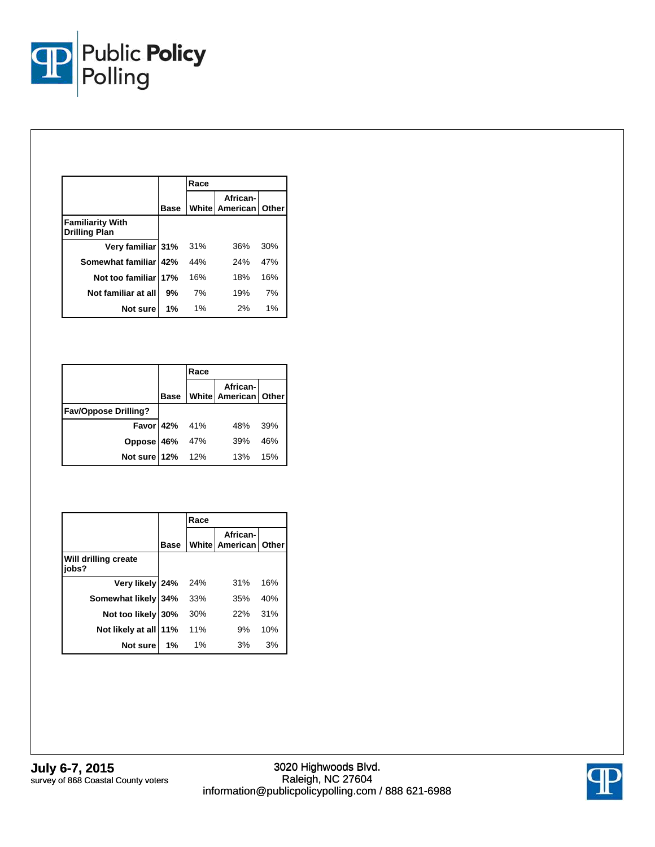

|                                                 |      | Race  |                                           |     |
|-------------------------------------------------|------|-------|-------------------------------------------|-----|
|                                                 | Base |       | African-<br><b>White American   Other</b> |     |
| <b>Familiarity With</b><br><b>Drilling Plan</b> |      |       |                                           |     |
| Very familiar 31%                               |      | 31%   | 36%                                       | 30% |
| Somewhat familiar   42%                         |      | 44%   | 24%                                       | 47% |
| Not too familiar 17%                            |      | 16%   | 18%                                       | 16% |
| Not familiar at all                             | 9%   | 7%    | 19%                                       | 7%  |
| Not sure                                        | 1%   | $1\%$ | 2%                                        | 1%  |

|                             |               | Race |                               |     |
|-----------------------------|---------------|------|-------------------------------|-----|
|                             | Base          |      | <br> White   American   Other |     |
| <b>Fav/Oppose Drilling?</b> |               |      |                               |     |
|                             | Favor 42% 41% |      | 48%                           | 39% |
|                             |               | 47%  | 39%                           | 46% |
| Oppose 46%<br>Not sure 12%  |               | 12%  | 13%                           | 15% |

|                               |             | Race  |                                    |     |
|-------------------------------|-------------|-------|------------------------------------|-----|
|                               | <b>Base</b> |       | African-<br>White American   Other |     |
| Will drilling create<br>jobs? |             |       |                                    |     |
| Very likely 24%               |             | 24%   | 31%                                | 16% |
| Somewhat likely 34%           |             | 33%   | 35%                                | 40% |
| Not too likely 30%            |             | 30%   | 22%                                | 31% |
| Not likely at all             | 11%         | 11%   | 9%                                 | 10% |
| Not sure                      | 1%          | $1\%$ | 3%                                 | 3%  |

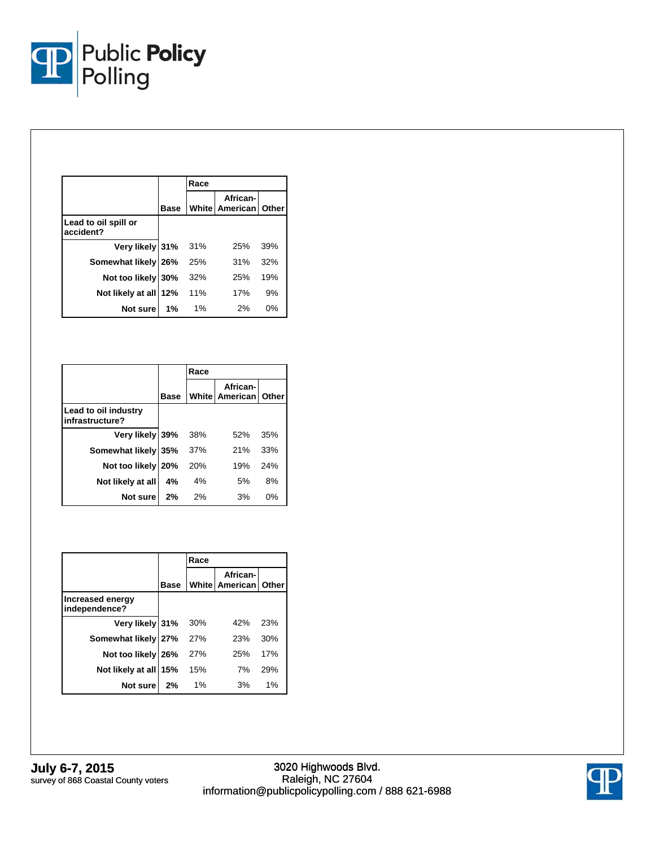

|                                   |      | Race  |                                           |     |
|-----------------------------------|------|-------|-------------------------------------------|-----|
|                                   | Base |       | African-<br><b>White American   Other</b> |     |
| Lead to oil spill or<br>accident? |      |       |                                           |     |
| Very likely 31%                   |      | 31%   | 25%                                       | 39% |
| Somewhat likely 26%               |      | 25%   | 31%                                       | 32% |
| Not too likely 30%                |      | 32%   | 25%                                       | 19% |
| Not likely at all 12%             |      | 11%   | 17%                                       | 9%  |
| Not sure                          | 1%   | $1\%$ | 2%                                        | 0%  |

|                                         |      | Race |                                           |     |
|-----------------------------------------|------|------|-------------------------------------------|-----|
|                                         | Base |      | African-<br><b>White American   Other</b> |     |
| Lead to oil industry<br>infrastructure? |      |      |                                           |     |
| Very likely  39%                        |      | 38%  | 52%                                       | 35% |
| Somewhat likely 35%                     |      | 37%  | 21%                                       | 33% |
| Not too likely 20%                      |      | 20%  | 19%                                       | 24% |
| Not likely at all                       | 4%   | 4%   | 5%                                        | 8%  |
| Not sure                                | 2%   | 2%   | 3%                                        | 0%  |

|                                   |      | Race |                                         |     |
|-----------------------------------|------|------|-----------------------------------------|-----|
|                                   | Base |      | African-<br><b>White American Other</b> |     |
| Increased energy<br>independence? |      |      |                                         |     |
| Very likely 31%                   |      | 30%  | 42%                                     | 23% |
| Somewhat likely 27%               |      | 27%  | 23%                                     | 30% |
| Not too likely 26%                |      | 27%  | 25%                                     | 17% |
| Not likely at all                 | 15%  | 15%  | 7%                                      | 29% |
| Not sure                          | 2%   | 1%   | 3%                                      | 1%  |

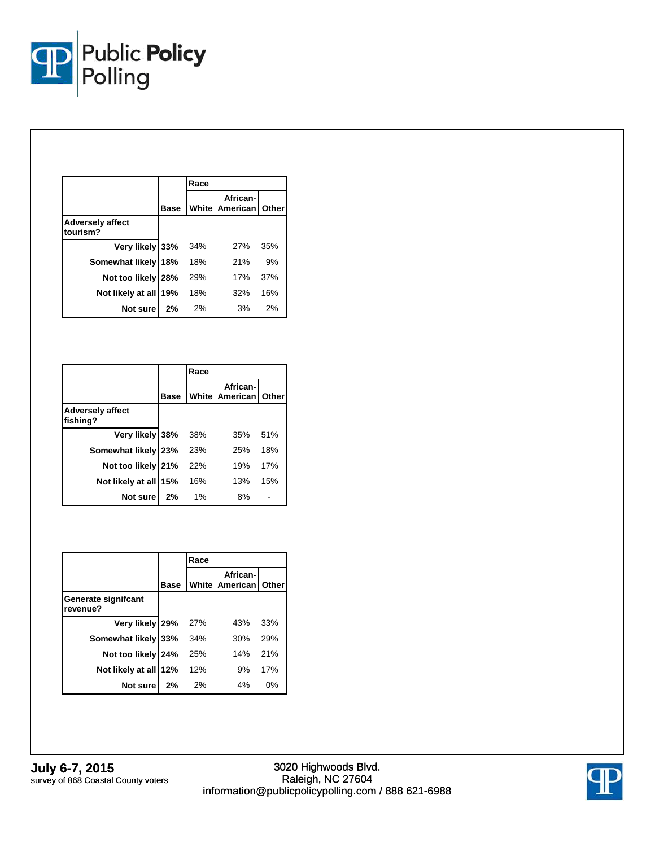

|                                     |             | Race |                                             |     |
|-------------------------------------|-------------|------|---------------------------------------------|-----|
|                                     | <b>Base</b> |      | African-<br><b>White   American   Other</b> |     |
| <b>Adversely affect</b><br>tourism? |             |      |                                             |     |
| Very likely 33%                     |             | 34%  | 27%                                         | 35% |
| Somewhat likely 18%                 |             | 18%  | 21%                                         | 9%  |
| Not too likely 28%                  |             | 29%  | 17%                                         | 37% |
| Not likely at all 19%               |             | 18%  | 32%                                         | 16% |
| Not sure                            | 2%          | 2%   | 3%                                          | 2%  |

|                                     |             | Race  |                                         |     |
|-------------------------------------|-------------|-------|-----------------------------------------|-----|
|                                     | <b>Base</b> |       | African-<br><b>White American Other</b> |     |
| <b>Adversely affect</b><br>fishing? |             |       |                                         |     |
| Very likely 38%                     |             | 38%   | 35%                                     | 51% |
| Somewhat likely 23%                 |             | 23%   | 25%                                     | 18% |
| Not too likely 21%                  |             | 22%   | 19%                                     | 17% |
| Not likely at all                   | 15%         | 16%   | 13%                                     | 15% |
| Not sure                            | 2%          | $1\%$ | 8%                                      |     |

|                                 |             | Race |                                           |     |
|---------------------------------|-------------|------|-------------------------------------------|-----|
|                                 | <b>Base</b> |      | African-<br><b>White American   Other</b> |     |
| Generate signifcant<br>revenue? |             |      |                                           |     |
| Very likely 29%                 |             | 27%  | 43%                                       | 33% |
| Somewhat likely 33%             |             | 34%  | 30%                                       | 29% |
| Not too likely 24%              |             | 25%  | 14%                                       | 21% |
| Not likely at all               | 12%         | 12%  | 9%                                        | 17% |
| Not sure                        | 2%          | 2%   | 4%                                        | 0%  |

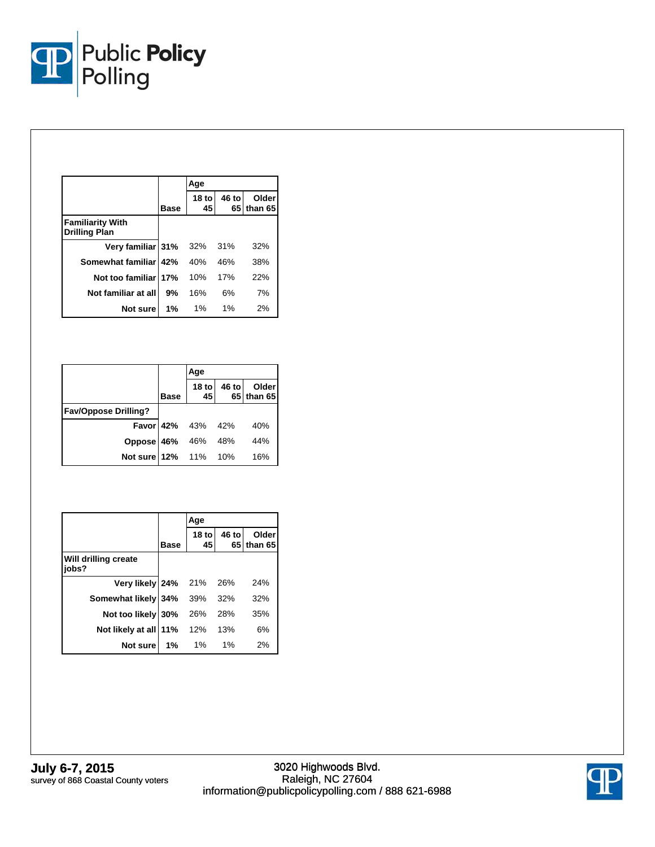

|                                                 |      | Age          |       |                     |  |
|-------------------------------------------------|------|--------------|-------|---------------------|--|
|                                                 | Base | 18 tol<br>45 | 46 to | Older<br>65 than 65 |  |
| <b>Familiarity With</b><br><b>Drilling Plan</b> |      |              |       |                     |  |
| Very familiar 31%                               |      | 32%          | 31%   | 32%                 |  |
| Somewhat familiar 42%                           |      | 40%          | 46%   | 38%                 |  |
| Not too familiar 17%                            |      | 10%          | 17%   | 22%                 |  |
| Not familiar at all                             | 9%   | 16%          | 6%    | 7%                  |  |
| Not sure                                        | 1%   | $1\%$        | $1\%$ | 2%                  |  |

|                             |             | Age                      |                           |
|-----------------------------|-------------|--------------------------|---------------------------|
|                             | <b>Base</b> | 18 to $45$               | 46 to Older<br>65 than 65 |
| <b>Fav/Oppose Drilling?</b> |             |                          |                           |
|                             |             | <b>Favor</b> 42% 43% 42% | 40%                       |
| Oppose 46% 46% 48%          |             |                          | 44%                       |
| Not sure 12% 11% 10%        |             |                          | 16%                       |

|                               |             | Age           |       |                       |
|-------------------------------|-------------|---------------|-------|-----------------------|
|                               | <b>Base</b> | $18$ to<br>45 | 46 to | Older<br>65 I than 65 |
| Will drilling create<br>jobs? |             |               |       |                       |
| Very likely 24%               |             | 21%           | 26%   | 24%                   |
| Somewhat likely               | 34%         | 39%           | 32%   | 32%                   |
| Not too likely                | 30%         | 26%           | 28%   | 35%                   |
| Not likely at all             | 11%         | 12%           | 13%   | 6%                    |
| Not sure                      | 1%          | $1\%$         | 1%    | 2%                    |

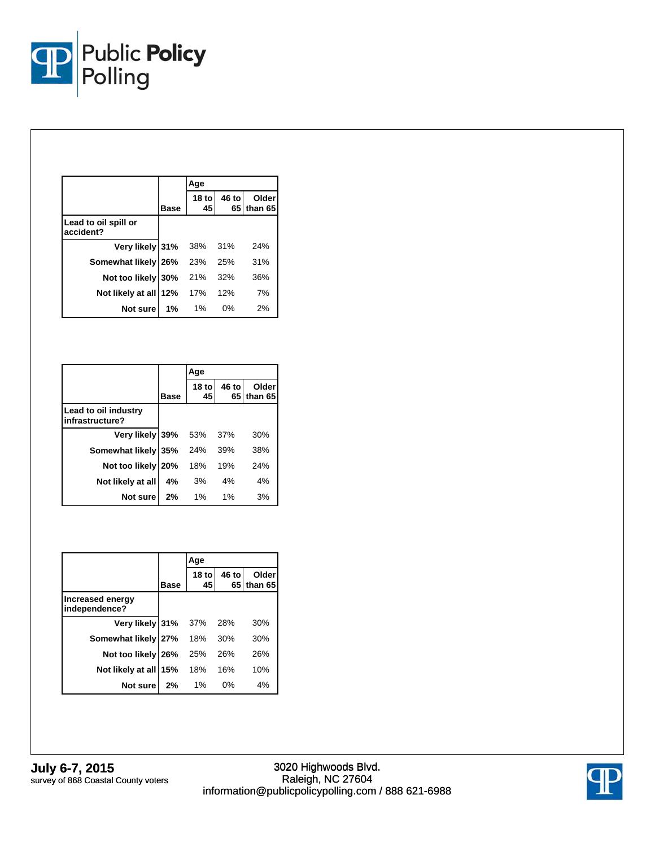

|                                   |             | Age          |       |                     |
|-----------------------------------|-------------|--------------|-------|---------------------|
|                                   | <b>Base</b> | 18 tol<br>45 | 46 to | Older<br>65 than 65 |
| Lead to oil spill or<br>accident? |             |              |       |                     |
| Very likely 31%                   |             | 38%          | 31%   | 24%                 |
| Somewhat likely 26%               |             | 23%          | 25%   | 31%                 |
| Not too likely                    | 30%         | 21%          | 32%   | 36%                 |
| Not likely at all 12%             |             | 17%          | 12%   | 7%                  |
| Not sure                          | 1%          | $1\%$        | 0%    | 2%                  |

|                                         |             | Age          |             |                  |
|-----------------------------------------|-------------|--------------|-------------|------------------|
|                                         | <b>Base</b> | 18 tol<br>45 | 46 to<br>65 | Older<br>than 65 |
| Lead to oil industry<br>infrastructure? |             |              |             |                  |
| Very likely 39%                         |             | 53%          | 37%         | 30%              |
| Somewhat likely                         | 35%         | 24%          | 39%         | 38%              |
| Not too likely                          | 20%         | 18%          | 19%         | 24%              |
| Not likely at all                       | 4%          | 3%           | 4%          | 4%               |
| Not sure                                | 2%          | $1\%$        | 1%          | 3%               |

|                                   |             | Age           |       |                     |  |
|-----------------------------------|-------------|---------------|-------|---------------------|--|
|                                   | <b>Base</b> | $18$ to<br>45 | 46 to | Older<br>65 than 65 |  |
| Increased energy<br>independence? |             |               |       |                     |  |
| Very likely 31%                   |             | 37%           | 28%   | 30%                 |  |
| Somewhat likely 27%               |             | 18%           | 30%   | 30%                 |  |
| Not too likely 26%                |             | 25%           | 26%   | 26%                 |  |
| Not likely at all                 | 15%         | 18%           | 16%   | 10%                 |  |
| Not sure                          | 2%          | $1\%$         | $0\%$ | 4%                  |  |

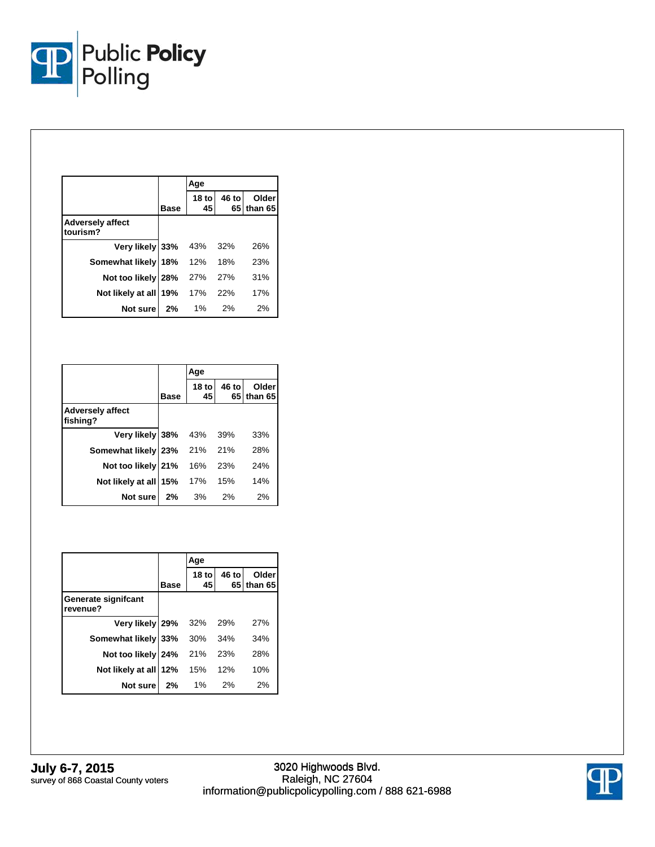

|                                     |             | Age          |            |                     |
|-------------------------------------|-------------|--------------|------------|---------------------|
|                                     | <b>Base</b> | 18 tol<br>45 | 46 to      | Older<br>65 than 65 |
| <b>Adversely affect</b><br>tourism? |             |              |            |                     |
| Very likely 33%                     |             | 43%          | 32%        | 26%                 |
| Somewhat likely 18%                 |             | 12%          | 18%        | 23%                 |
| Not too likely 28%                  |             | 27%          | <b>27%</b> | 31%                 |
| Not likely at all 19%               |             | 17%          | 22%        | 17%                 |
| Not sure                            | 2%          | 1%           | 2%         | 2%                  |

|                                     |             | Age          |       |                       |
|-------------------------------------|-------------|--------------|-------|-----------------------|
|                                     | <b>Base</b> | 18 tol<br>45 | 46 to | Older<br>65 I than 65 |
| <b>Adversely affect</b><br>fishing? |             |              |       |                       |
| Very likely 38%                     |             | 43%          | 39%   | 33%                   |
| Somewhat likely                     | 23%         | 21%          | 21%   | 28%                   |
| Not too likely 21%                  |             | 16%          | 23%   | 24%                   |
| Not likely at all                   | 15%         | 17%          | 15%   | 14%                   |
| Not sure                            | 2%          | 3%           | 2%    | 2%                    |

|                                  |             | Age           |       |                     |  |
|----------------------------------|-------------|---------------|-------|---------------------|--|
|                                  | <b>Base</b> | $18$ to<br>45 | 46 to | Older<br>65 than 65 |  |
| Generate significant<br>revenue? |             |               |       |                     |  |
| Very likely 29%                  |             | 32%           | 29%   | 27%                 |  |
| Somewhat likely 33%              |             | 30%           | 34%   | 34%                 |  |
| Not too likely 24%               |             | 21%           | 23%   | 28%                 |  |
| Not likely at all                | 12%         | 15%           | 12%   | 10%                 |  |
| Not sure                         | 2%          | $1\%$         | 2%    | 2%                  |  |

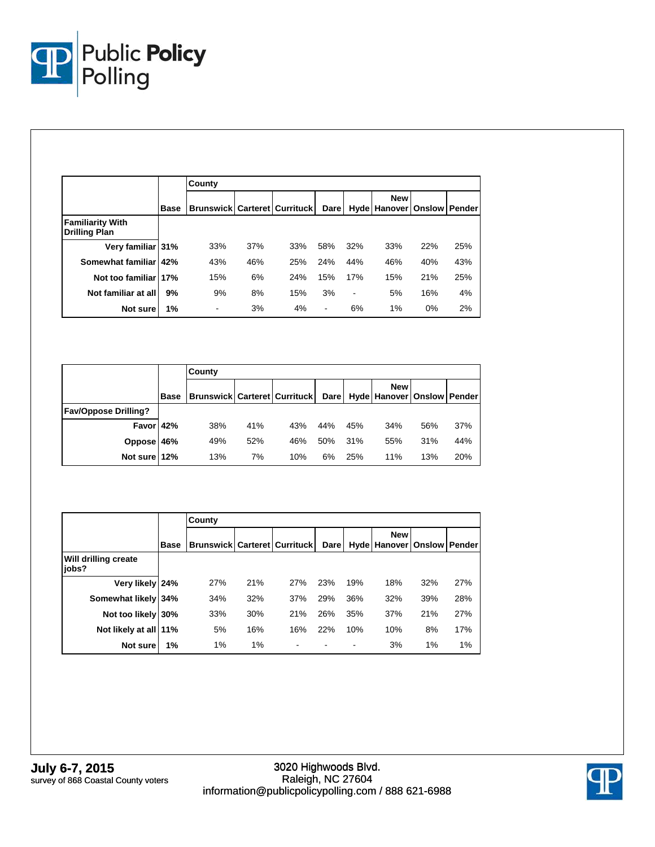

|                                                 |             | County                                    |     |     |                |                |                            |                      |     |
|-------------------------------------------------|-------------|-------------------------------------------|-----|-----|----------------|----------------|----------------------------|----------------------|-----|
|                                                 | <b>Base</b> | <b>Brunswick   Carteret   Currituck  </b> |     |     | Darel          |                | <b>New</b><br>Hyde Hanover | <b>Onslow Pender</b> |     |
| <b>Familiarity With</b><br><b>Drilling Plan</b> |             |                                           |     |     |                |                |                            |                      |     |
| Very familiar 31%                               |             | 33%                                       | 37% | 33% | 58%            | 32%            | 33%                        | 22%                  | 25% |
| Somewhat familiar 42%                           |             | 43%                                       | 46% | 25% | 24%            | 44%            | 46%                        | 40%                  | 43% |
| Not too familiar 17%                            |             | 15%                                       | 6%  | 24% | 15%            | 17%            | 15%                        | 21%                  | 25% |
| Not familiar at all                             | 9%          | 9%                                        | 8%  | 15% | 3%             | $\blacksquare$ | 5%                         | 16%                  | 4%  |
| Not sure                                        | 1%          | $\overline{\phantom{a}}$                  | 3%  | 4%  | $\blacksquare$ | 6%             | 1%                         | 0%                   | 2%  |

|                             |             | County                                    |     |     |     |     |                                                   |     |     |
|-----------------------------|-------------|-------------------------------------------|-----|-----|-----|-----|---------------------------------------------------|-----|-----|
|                             | <b>Base</b> | <b>Brunswick   Carteret   Currituck  </b> |     |     |     |     | <b>New</b><br>Dare Hyde Hanover   Onslow   Pender |     |     |
| <b>Fav/Oppose Drilling?</b> |             |                                           |     |     |     |     |                                                   |     |     |
| Favor 42%                   |             | 38%                                       | 41% | 43% | 44% | 45% | 34%                                               | 56% | 37% |
| Oppose 46%                  |             | 49%                                       | 52% | 46% | 50% | 31% | 55%                                               | 31% | 44% |
| Not sure 12%                |             | 13%                                       | 7%  | 10% | 6%  | 25% | 11%                                               | 13% | 20% |

|                               |      | County                                    |     |     |             |     |                                   |                      |     |  |
|-------------------------------|------|-------------------------------------------|-----|-----|-------------|-----|-----------------------------------|----------------------|-----|--|
|                               | Base | <b>Brunswick   Carteret   Currituck  </b> |     |     | <b>Dare</b> |     | <b>New</b><br><b>Hyde Hanover</b> | <b>Onslow Pender</b> |     |  |
| Will drilling create<br>jobs? |      |                                           |     |     |             |     |                                   |                      |     |  |
| Very likely 24%               |      | 27%                                       | 21% | 27% | 23%         | 19% | 18%                               | 32%                  | 27% |  |
| Somewhat likely 34%           |      | 34%                                       | 32% | 37% | 29%         | 36% | 32%                               | 39%                  | 28% |  |
| Not too likely 30%            |      | 33%                                       | 30% | 21% | 26%         | 35% | 37%                               | 21%                  | 27% |  |
| Not likely at all 11%         |      | 5%                                        | 16% | 16% | 22%         | 10% | 10%                               | 8%                   | 17% |  |
| Not sure                      | 1%   | 1%                                        | 1%  |     |             |     | 3%                                | $1\%$                | 1%  |  |

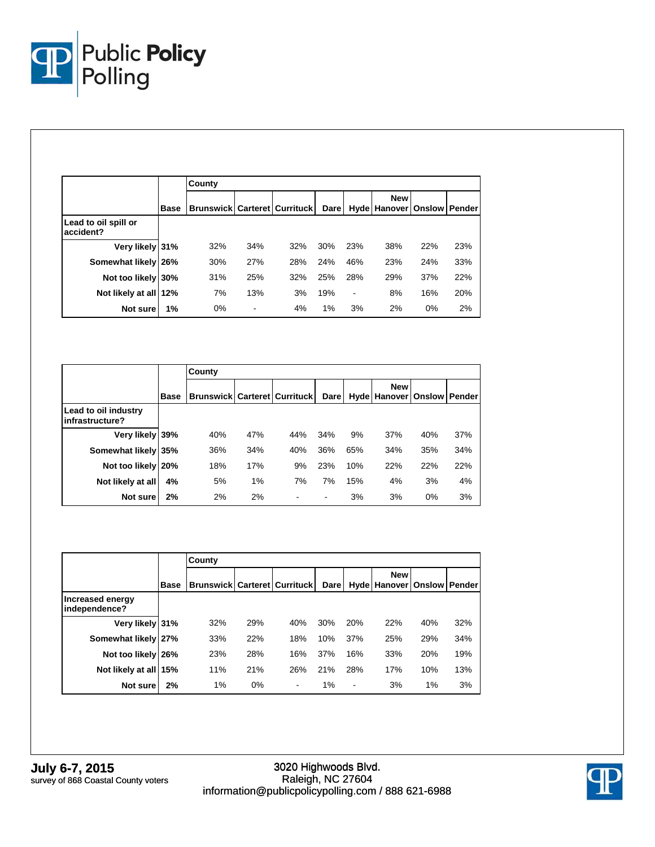

|                                   |             | County                                    |     |     |      |                          |                                                |     |     |  |
|-----------------------------------|-------------|-------------------------------------------|-----|-----|------|--------------------------|------------------------------------------------|-----|-----|--|
|                                   | <b>Base</b> | <b>Brunswick   Carteret   Currituck  </b> |     |     | Dare |                          | <b>New</b><br>Hyde   Hanover   Onslow   Pender |     |     |  |
| Lead to oil spill or<br>accident? |             |                                           |     |     |      |                          |                                                |     |     |  |
| Very likely 31%                   |             | 32%                                       | 34% | 32% | 30%  | 23%                      | 38%                                            | 22% | 23% |  |
| Somewhat likely 26%               |             | 30%                                       | 27% | 28% | 24%  | 46%                      | 23%                                            | 24% | 33% |  |
| Not too likely 30%                |             | 31%                                       | 25% | 32% | 25%  | 28%                      | 29%                                            | 37% | 22% |  |
| Not likely at all                 | 12%         | 7%                                        | 13% | 3%  | 19%  | $\overline{\phantom{a}}$ | 8%                                             | 16% | 20% |  |
| Not sure                          | 1%          | 0%                                        | ۰   | 4%  | 1%   | 3%                       | 2%                                             | 0%  | 2%  |  |

|                                         |             | County                                    |     |     |             |     |                            |               |        |  |
|-----------------------------------------|-------------|-------------------------------------------|-----|-----|-------------|-----|----------------------------|---------------|--------|--|
|                                         | <b>Base</b> | <b>Brunswick   Carteret   Currituck  </b> |     |     | <b>Dare</b> |     | <b>New</b><br>Hyde Hanover | <b>Onslow</b> | Pender |  |
| Lead to oil industry<br>infrastructure? |             |                                           |     |     |             |     |                            |               |        |  |
| Very likely 39%                         |             | 40%                                       | 47% | 44% | 34%         | 9%  | 37%                        | 40%           | 37%    |  |
| Somewhat likely 35%                     |             | 36%                                       | 34% | 40% | 36%         | 65% | 34%                        | 35%           | 34%    |  |
| Not too likely 20%                      |             | 18%                                       | 17% | 9%  | 23%         | 10% | 22%                        | 22%           | 22%    |  |
| Not likely at all                       | 4%          | 5%                                        | 1%  | 7%  | 7%          | 15% | 4%                         | 3%            | 4%     |  |
| Not sure                                | 2%          | 2%                                        | 2%  |     |             | 3%  | 3%                         | 0%            | 3%     |  |

|                                   |      | County                                    |       |     |             |                          |                                   |               |     |  |  |
|-----------------------------------|------|-------------------------------------------|-------|-----|-------------|--------------------------|-----------------------------------|---------------|-----|--|--|
|                                   | Base | <b>Brunswick   Carteret   Currituck  </b> |       |     | <b>Dare</b> |                          | <b>New</b><br><b>Hyde Hanover</b> | Onslow Pender |     |  |  |
| Increased energy<br>independence? |      |                                           |       |     |             |                          |                                   |               |     |  |  |
| Very likely 31%                   |      | 32%                                       | 29%   | 40% | 30%         | 20%                      | 22%                               | 40%           | 32% |  |  |
| Somewhat likely 27%               |      | 33%                                       | 22%   | 18% | 10%         | 37%                      | 25%                               | 29%           | 34% |  |  |
| Not too likely 26%                |      | 23%                                       | 28%   | 16% | 37%         | 16%                      | 33%                               | 20%           | 19% |  |  |
| Not likely at all 15%             |      | 11%                                       | 21%   | 26% | 21%         | 28%                      | 17%                               | 10%           | 13% |  |  |
| Not sure                          | 2%   | 1%                                        | $0\%$ | ٠   | $1\%$       | $\overline{\phantom{a}}$ | 3%                                | 1%            | 3%  |  |  |